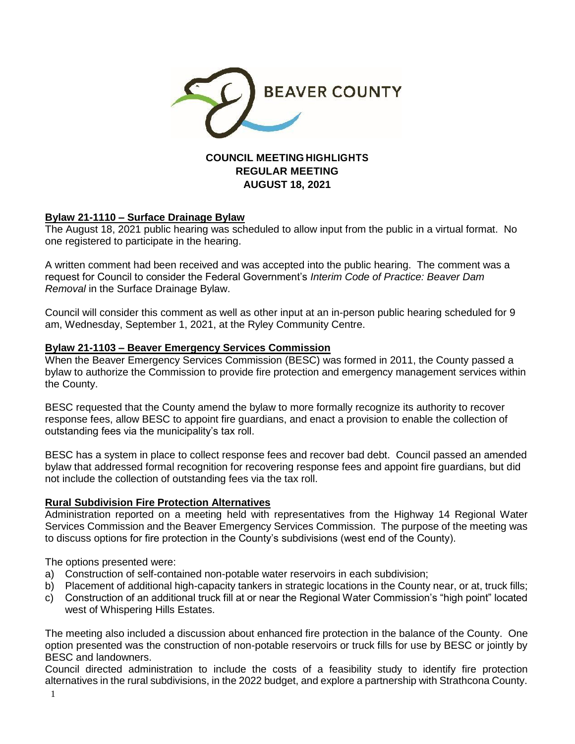

# **COUNCIL MEETING HIGHLIGHTS REGULAR MEETING AUGUST 18, 2021**

# **Bylaw 21-1110 – Surface Drainage Bylaw**

The August 18, 2021 public hearing was scheduled to allow input from the public in a virtual format. No one registered to participate in the hearing.

A written comment had been received and was accepted into the public hearing. The comment was a request for Council to consider the Federal Government's *Interim Code of Practice: Beaver Dam Removal* in the Surface Drainage Bylaw.

Council will consider this comment as well as other input at an in-person public hearing scheduled for 9 am, Wednesday, September 1, 2021, at the Ryley Community Centre.

## **Bylaw 21-1103 – Beaver Emergency Services Commission**

When the Beaver Emergency Services Commission (BESC) was formed in 2011, the County passed a bylaw to authorize the Commission to provide fire protection and emergency management services within the County.

BESC requested that the County amend the bylaw to more formally recognize its authority to recover response fees, allow BESC to appoint fire guardians, and enact a provision to enable the collection of outstanding fees via the municipality's tax roll.

BESC has a system in place to collect response fees and recover bad debt. Council passed an amended bylaw that addressed formal recognition for recovering response fees and appoint fire guardians, but did not include the collection of outstanding fees via the tax roll.

## **Rural Subdivision Fire Protection Alternatives**

Administration reported on a meeting held with representatives from the Highway 14 Regional Water Services Commission and the Beaver Emergency Services Commission. The purpose of the meeting was to discuss options for fire protection in the County's subdivisions (west end of the County).

The options presented were:

- a) Construction of self-contained non-potable water reservoirs in each subdivision;
- b) Placement of additional high-capacity tankers in strategic locations in the County near, or at, truck fills;
- c) Construction of an additional truck fill at or near the Regional Water Commission's "high point" located west of Whispering Hills Estates.

The meeting also included a discussion about enhanced fire protection in the balance of the County. One option presented was the construction of non-potable reservoirs or truck fills for use by BESC or jointly by BESC and landowners.

Council directed administration to include the costs of a feasibility study to identify fire protection alternatives in the rural subdivisions, in the 2022 budget, and explore a partnership with Strathcona County.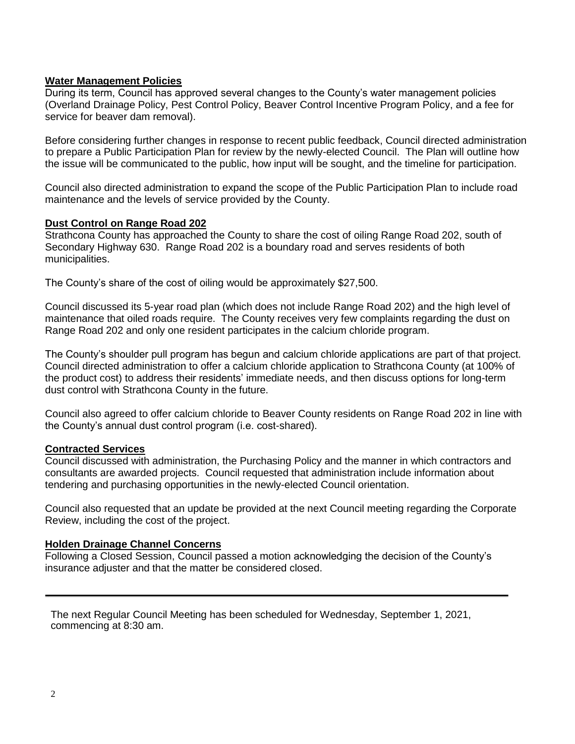## **Water Management Policies**

During its term, Council has approved several changes to the County's water management policies (Overland Drainage Policy, Pest Control Policy, Beaver Control Incentive Program Policy, and a fee for service for beaver dam removal).

Before considering further changes in response to recent public feedback, Council directed administration to prepare a Public Participation Plan for review by the newly-elected Council. The Plan will outline how the issue will be communicated to the public, how input will be sought, and the timeline for participation.

Council also directed administration to expand the scope of the Public Participation Plan to include road maintenance and the levels of service provided by the County.

### **Dust Control on Range Road 202**

Strathcona County has approached the County to share the cost of oiling Range Road 202, south of Secondary Highway 630. Range Road 202 is a boundary road and serves residents of both municipalities.

The County's share of the cost of oiling would be approximately \$27,500.

Council discussed its 5-year road plan (which does not include Range Road 202) and the high level of maintenance that oiled roads require. The County receives very few complaints regarding the dust on Range Road 202 and only one resident participates in the calcium chloride program.

The County's shoulder pull program has begun and calcium chloride applications are part of that project. Council directed administration to offer a calcium chloride application to Strathcona County (at 100% of the product cost) to address their residents' immediate needs, and then discuss options for long-term dust control with Strathcona County in the future.

Council also agreed to offer calcium chloride to Beaver County residents on Range Road 202 in line with the County's annual dust control program (i.e. cost-shared).

### **Contracted Services**

Council discussed with administration, the Purchasing Policy and the manner in which contractors and consultants are awarded projects. Council requested that administration include information about tendering and purchasing opportunities in the newly-elected Council orientation.

Council also requested that an update be provided at the next Council meeting regarding the Corporate Review, including the cost of the project.

### **Holden Drainage Channel Concerns**

Following a Closed Session, Council passed a motion acknowledging the decision of the County's insurance adjuster and that the matter be considered closed.

The next Regular Council Meeting has been scheduled for Wednesday, September 1, 2021, commencing at 8:30 am.